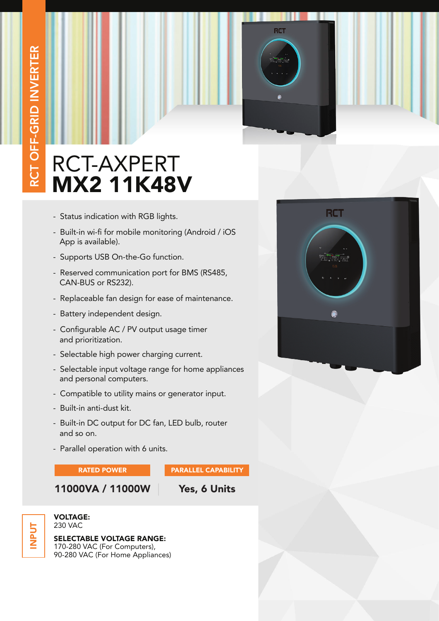

# RCT-AXPERT MX2 11K48V

- Status indication with RGB lights.
- Built-in wi-fi for mobile monitoring (Android / iOS App is available).
- Supports USB On-the-Go function.
- Reserved communication port for BMS (RS485, CAN-BUS or RS232).
- Replaceable fan design for ease of maintenance.
- Battery independent design.
- Configurable AC / PV output usage timer and prioritization.
- Selectable high power charging current.
- Selectable input voltage range for home appliances and personal computers.
- Compatible to utility mains or generator input.
- Built-in anti-dust kit.
- Built-in DC output for DC fan, LED bulb, router and so on.
- Parallel operation with 6 units.

RATED POWER PARALLEL CAPABILITY

11000VA / 11000W Yes, 6 Units

INPUT



SELECTABLE VOLTAGE RANGE: 170-280 VAC (For Computers), 90-280 VAC (For Home Appliances)